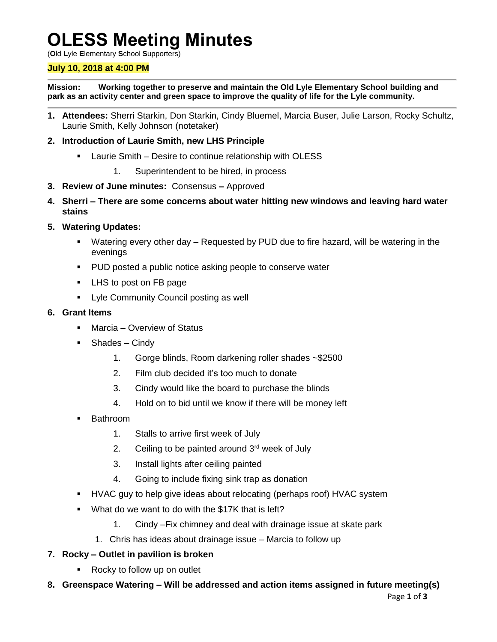# **OLESS Meeting Minutes**

(**O**ld **L**yle **E**lementary **S**chool **S**upporters)

# **July 10, 2018 at 4:00 PM**

**Mission: Working together to preserve and maintain the Old Lyle Elementary School building and park as an activity center and green space to improve the quality of life for the Lyle community.**

**1. Attendees:** Sherri Starkin, Don Starkin, Cindy Bluemel, Marcia Buser, Julie Larson, Rocky Schultz, Laurie Smith, Kelly Johnson (notetaker)

#### **2. Introduction of Laurie Smith, new LHS Principle**

- **EXECT** Laurie Smith Desire to continue relationship with OLESS
	- 1. Superintendent to be hired, in process
- **3. Review of June minutes:** Consensus **–** Approved
- **4. Sherri – There are some concerns about water hitting new windows and leaving hard water stains**
- **5. Watering Updates:**
	- Watering every other day Requested by PUD due to fire hazard, will be watering in the evenings
	- **PUD** posted a public notice asking people to conserve water
	- LHS to post on FB page
	- **EXECOMMUNITY Council posting as well**

#### **6. Grant Items**

- Marcia Overview of Status
- Shades Cindy
	- 1. Gorge blinds, Room darkening roller shades ~\$2500
	- 2. Film club decided it's too much to donate
	- 3. Cindy would like the board to purchase the blinds
	- 4. Hold on to bid until we know if there will be money left
- Bathroom
	- 1. Stalls to arrive first week of July
	- 2. Ceiling to be painted around  $3<sup>rd</sup>$  week of July
	- 3. Install lights after ceiling painted
	- 4. Going to include fixing sink trap as donation
- HVAC guy to help give ideas about relocating (perhaps roof) HVAC system
- **What do we want to do with the \$17K that is left?** 
	- 1. Cindy –Fix chimney and deal with drainage issue at skate park
	- 1. Chris has ideas about drainage issue Marcia to follow up
- **7. Rocky – Outlet in pavilion is broken**
	- Rocky to follow up on outlet
- **8. Greenspace Watering – Will be addressed and action items assigned in future meeting(s)**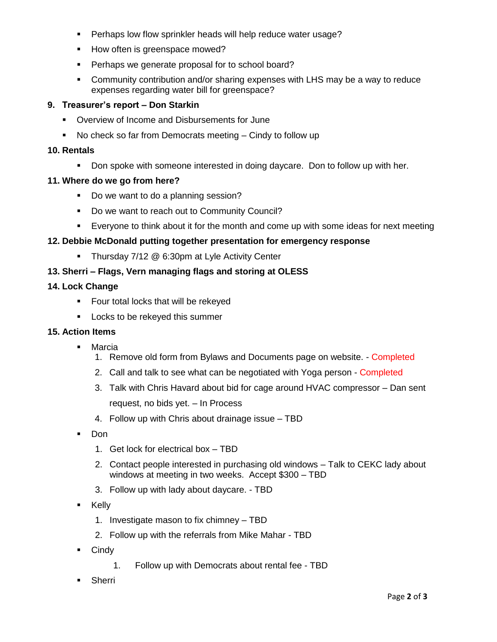- **Perhaps low flow sprinkler heads will help reduce water usage?**
- How often is greenspace mowed?
- **Perhaps we generate proposal for to school board?**
- Community contribution and/or sharing expenses with LHS may be a way to reduce expenses regarding water bill for greenspace?

# **9. Treasurer's report – Don Starkin**

- **Overview of Income and Disbursements for June**
- No check so far from Democrats meeting Cindy to follow up

#### **10. Rentals**

Don spoke with someone interested in doing daycare. Don to follow up with her.

#### **11. Where do we go from here?**

- Do we want to do a planning session?
- Do we want to reach out to Community Council?
- Everyone to think about it for the month and come up with some ideas for next meeting

# **12. Debbie McDonald putting together presentation for emergency response**

**Thursday 7/12 @ 6:30pm at Lyle Activity Center** 

# **13. Sherri – Flags, Vern managing flags and storing at OLESS**

# **14. Lock Change**

- **Figure 1** Four total locks that will be rekeyed
- **Locks to be rekeyed this summer**

# **15. Action Items**

- **Marcia** 
	- 1. Remove old form from Bylaws and Documents page on website. Completed
	- 2. Call and talk to see what can be negotiated with Yoga person Completed
	- 3. Talk with Chris Havard about bid for cage around HVAC compressor Dan sent request, no bids yet. – In Process
	- 4. Follow up with Chris about drainage issue TBD
- **Don** 
	- 1. Get lock for electrical box TBD
	- 2. Contact people interested in purchasing old windows Talk to CEKC lady about windows at meeting in two weeks. Accept \$300 – TBD
	- 3. Follow up with lady about daycare. TBD
- **E** Kelly
	- 1. Investigate mason to fix chimney TBD
	- 2. Follow up with the referrals from Mike Mahar TBD
- **Cindy** 
	- 1. Follow up with Democrats about rental fee TBD
- **Sherri**